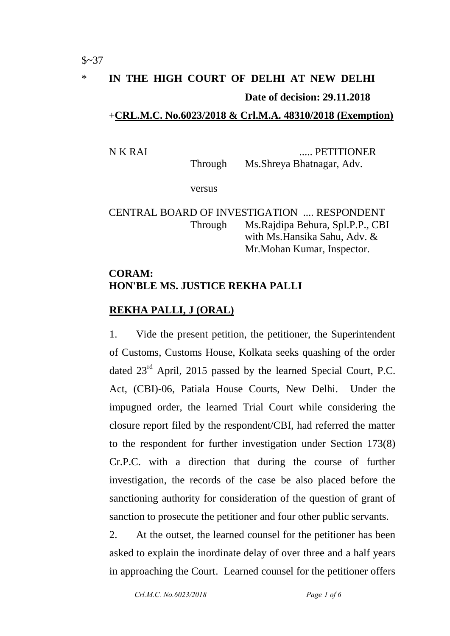# \* **IN THE HIGH COURT OF DELHI AT NEW DELHI Date of decision: 29.11.2018**

### +**CRL.M.C. No.6023/2018 & Crl.M.A. 48310/2018 (Exemption)**

N K RAI ..... PETITIONER

Through Ms.Shreya Bhatnagar, Adv.

versus

## CENTRAL BOARD OF INVESTIGATION .... RESPONDENT Through Ms.Rajdipa Behura, Spl.P.P., CBI with Ms.Hansika Sahu, Adv. & Mr.Mohan Kumar, Inspector.

# **CORAM: HON'BLE MS. JUSTICE REKHA PALLI**

## **REKHA PALLI, J (ORAL)**

1. Vide the present petition, the petitioner, the Superintendent of Customs, Customs House, Kolkata seeks quashing of the order dated 23<sup>rd</sup> April, 2015 passed by the learned Special Court, P.C. Act, (CBI)-06, Patiala House Courts, New Delhi. Under the impugned order, the learned Trial Court while considering the closure report filed by the respondent/CBI, had referred the matter to the respondent for further investigation under Section 173(8) Cr.P.C. with a direction that during the course of further investigation, the records of the case be also placed before the sanctioning authority for consideration of the question of grant of sanction to prosecute the petitioner and four other public servants.

2. At the outset, the learned counsel for the petitioner has been asked to explain the inordinate delay of over three and a half years in approaching the Court. Learned counsel for the petitioner offers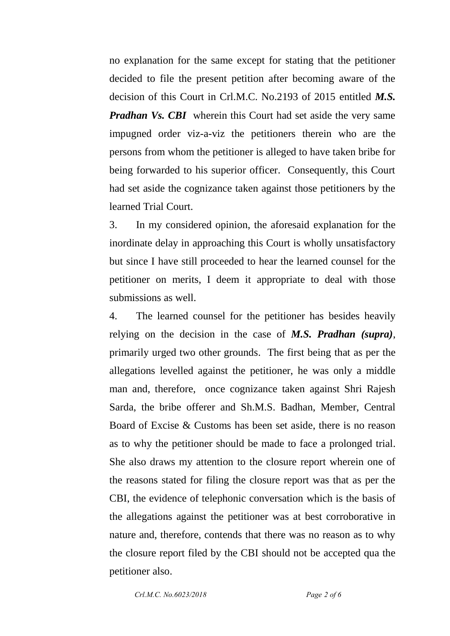no explanation for the same except for stating that the petitioner decided to file the present petition after becoming aware of the decision of this Court in Crl.M.C. No.2193 of 2015 entitled *M.S. Pradhan Vs. CBI* wherein this Court had set aside the very same impugned order viz-a-viz the petitioners therein who are the persons from whom the petitioner is alleged to have taken bribe for being forwarded to his superior officer. Consequently, this Court had set aside the cognizance taken against those petitioners by the learned Trial Court.

3. In my considered opinion, the aforesaid explanation for the inordinate delay in approaching this Court is wholly unsatisfactory but since I have still proceeded to hear the learned counsel for the petitioner on merits, I deem it appropriate to deal with those submissions as well.

4. The learned counsel for the petitioner has besides heavily relying on the decision in the case of *M.S. Pradhan (supra)*, primarily urged two other grounds. The first being that as per the allegations levelled against the petitioner, he was only a middle man and, therefore, once cognizance taken against Shri Rajesh Sarda, the bribe offerer and Sh.M.S. Badhan, Member, Central Board of Excise & Customs has been set aside, there is no reason as to why the petitioner should be made to face a prolonged trial. She also draws my attention to the closure report wherein one of the reasons stated for filing the closure report was that as per the CBI, the evidence of telephonic conversation which is the basis of the allegations against the petitioner was at best corroborative in nature and, therefore, contends that there was no reason as to why the closure report filed by the CBI should not be accepted qua the petitioner also.

 *Crl.M.C. No.6023/2018 Page 2 of 6*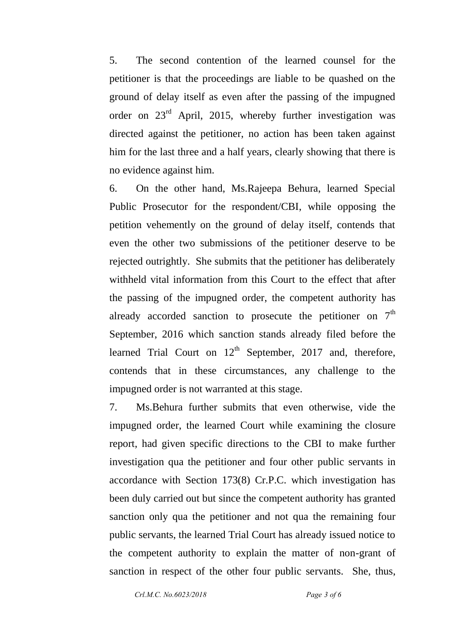5. The second contention of the learned counsel for the petitioner is that the proceedings are liable to be quashed on the ground of delay itself as even after the passing of the impugned order on  $23<sup>rd</sup>$  April, 2015, whereby further investigation was directed against the petitioner, no action has been taken against him for the last three and a half years, clearly showing that there is no evidence against him.

6. On the other hand, Ms.Rajeepa Behura, learned Special Public Prosecutor for the respondent/CBI, while opposing the petition vehemently on the ground of delay itself, contends that even the other two submissions of the petitioner deserve to be rejected outrightly. She submits that the petitioner has deliberately withheld vital information from this Court to the effect that after the passing of the impugned order, the competent authority has already accorded sanction to prosecute the petitioner on  $7<sup>th</sup>$ September, 2016 which sanction stands already filed before the learned Trial Court on  $12<sup>th</sup>$  September, 2017 and, therefore, contends that in these circumstances, any challenge to the impugned order is not warranted at this stage.

7. Ms.Behura further submits that even otherwise, vide the impugned order, the learned Court while examining the closure report, had given specific directions to the CBI to make further investigation qua the petitioner and four other public servants in accordance with Section 173(8) Cr.P.C. which investigation has been duly carried out but since the competent authority has granted sanction only qua the petitioner and not qua the remaining four public servants, the learned Trial Court has already issued notice to the competent authority to explain the matter of non-grant of sanction in respect of the other four public servants. She, thus,

 *Crl.M.C. No.6023/2018 Page 3 of 6*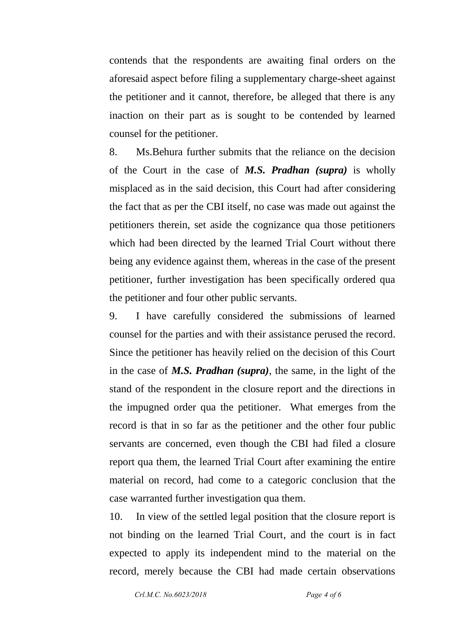contends that the respondents are awaiting final orders on the aforesaid aspect before filing a supplementary charge-sheet against the petitioner and it cannot, therefore, be alleged that there is any inaction on their part as is sought to be contended by learned counsel for the petitioner.

8. Ms.Behura further submits that the reliance on the decision of the Court in the case of *M.S. Pradhan (supra)* is wholly misplaced as in the said decision, this Court had after considering the fact that as per the CBI itself, no case was made out against the petitioners therein, set aside the cognizance qua those petitioners which had been directed by the learned Trial Court without there being any evidence against them, whereas in the case of the present petitioner, further investigation has been specifically ordered qua the petitioner and four other public servants.

9. I have carefully considered the submissions of learned counsel for the parties and with their assistance perused the record. Since the petitioner has heavily relied on the decision of this Court in the case of *M.S. Pradhan (supra)*, the same, in the light of the stand of the respondent in the closure report and the directions in the impugned order qua the petitioner. What emerges from the record is that in so far as the petitioner and the other four public servants are concerned, even though the CBI had filed a closure report qua them, the learned Trial Court after examining the entire material on record, had come to a categoric conclusion that the case warranted further investigation qua them.

10. In view of the settled legal position that the closure report is not binding on the learned Trial Court, and the court is in fact expected to apply its independent mind to the material on the record, merely because the CBI had made certain observations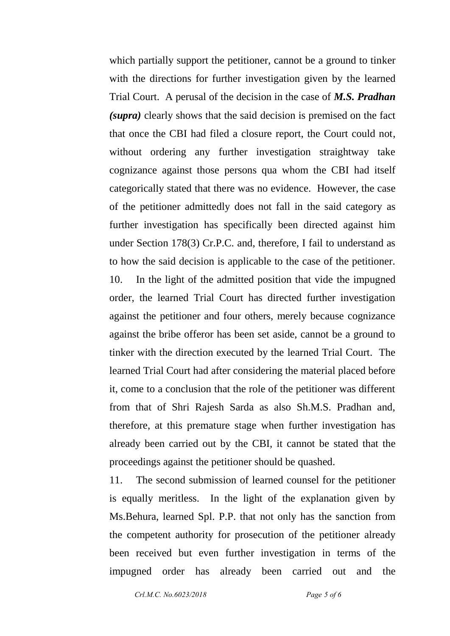which partially support the petitioner, cannot be a ground to tinker with the directions for further investigation given by the learned Trial Court. A perusal of the decision in the case of *M.S. Pradhan (supra)* clearly shows that the said decision is premised on the fact that once the CBI had filed a closure report, the Court could not, without ordering any further investigation straightway take cognizance against those persons qua whom the CBI had itself categorically stated that there was no evidence. However, the case of the petitioner admittedly does not fall in the said category as further investigation has specifically been directed against him under Section 178(3) Cr.P.C. and, therefore, I fail to understand as to how the said decision is applicable to the case of the petitioner. 10. In the light of the admitted position that vide the impugned order, the learned Trial Court has directed further investigation against the petitioner and four others, merely because cognizance against the bribe offeror has been set aside, cannot be a ground to tinker with the direction executed by the learned Trial Court. The learned Trial Court had after considering the material placed before it, come to a conclusion that the role of the petitioner was different from that of Shri Rajesh Sarda as also Sh.M.S. Pradhan and, therefore, at this premature stage when further investigation has already been carried out by the CBI, it cannot be stated that the proceedings against the petitioner should be quashed.

11. The second submission of learned counsel for the petitioner is equally meritless. In the light of the explanation given by Ms.Behura, learned Spl. P.P. that not only has the sanction from the competent authority for prosecution of the petitioner already been received but even further investigation in terms of the impugned order has already been carried out and the